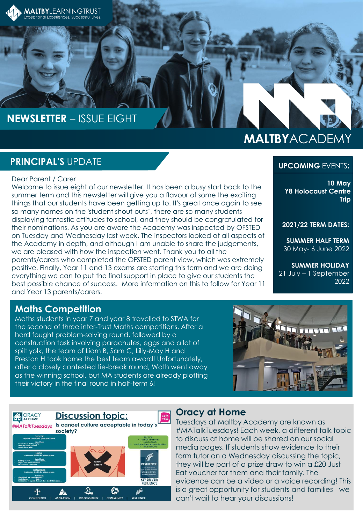

## **NEWSLETTER** – ISSUE EIGHT

# **MALTBYACADEMY**

## **PRINCIPAL'S** UPDATE

#### Dear Parent / Carer

Welcome to issue eight of our newsletter. It has been a busy start back to the summer term and this newsletter will give you a flavour of some the exciting things that our students have been getting up to. It's great once again to see so many names on the 'student shout outs', there are so many students displaying fantastic attitudes to school, and they should be congratulated for their nominations. As you are aware the Academy was inspected by OFSTED on Tuesday and Wednesday last week. The inspectors looked at all aspects of the Academy in depth, and although I am unable to share the judgements, we are pleased with how the inspection went. Thank you to all the parents/carers who completed the OFSTED parent view, which was extremely positive. Finally, Year 11 and 13 exams are starting this term and we are doing everything we can to put the final support in place to give our students the best possible chance of success. More information on this to follow for Year 11 and Year 13 parents/carers.

#### **UPCOMING** EVENTS**:**

**10 May Y8 Holocaust Centre Trip**

**2021/22 TERM DATES:**

**SUMMER HALF TERM** 30 May- 6 June 2022

**SUMMER HOLIDAY** 21 July – 1 September 2022

## **Maths Competition**

Maths students in year 7 and year 8 travelled to STWA for the second of three inter-Trust Maths competitions. After a hard fought problem-solving round, followed by a construction task involving parachutes, eggs and a lot of spilt yolk, the team of Liam B, Sam C, Lilly-May H and Preston H took home the best team award! Unfortunately, after a closely contested tie-break round, Wath went away as the winning school, but MA students are already plotting their victory in the final round in half-term 6!





#### **Oracy at Home**

Tuesdays at Maltby Academy are known as #MATalkTuesdays! Each week, a different talk topic to discuss at home will be shared on our social media pages. If students show evidence to their form tutor on a Wednesday discussing the topic, they will be part of a prize draw to win a £20 Just Eat voucher for them and their family. The evidence can be a video or a voice recording! This is a great opportunity for students and families - we can't wait to hear your discussions!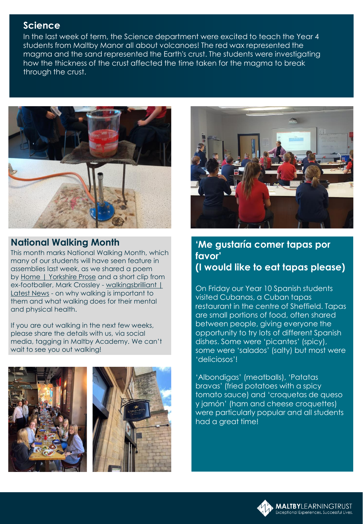## **Science**

In the last week of term, the Science department were excited to teach the Year 4 students from Maltby Manor all about volcanoes! The red wax represented the magma and the sand represented the Earth's crust. The students were investigating how the thickness of the crust affected the time taken for the magma to break through the crust.



## **National Walking Month**

This month marks National Walking Month, which many of our students will have seen feature in assemblies last week, as we shared a poem by [Home | Yorkshire Prose](https://www.yorkshireprose.com/) and a short clip from ex-footballer, Mark Crossley - walkingsbrilliant | Latest News - on why walking is important to them and what walking does for their mental and physical health.

If you are out walking in the next few weeks, please share the details with us, via social media, tagging in Maltby Academy. We can't wait to see you out walking!





## **'Me gustaría comer tapas por favor' (I would like to eat tapas please)**

On Friday our Year 10 Spanish students visited Cubanas, a Cuban tapas restaurant in the centre of Sheffield. Tapas are small portions of food, often shared between people, giving everyone the opportunity to try lots of different Spanish dishes. Some were 'picantes' (spicy), some were 'salados' (salty) but most were 'deliciosos'!

'Albondigas' (meatballs), 'Patatas bravas' (fried potatoes with a spicy tomato sauce) and 'croquetas de queso y jamón' (ham and cheese croquettes) were particularly popular and all students had a great time!

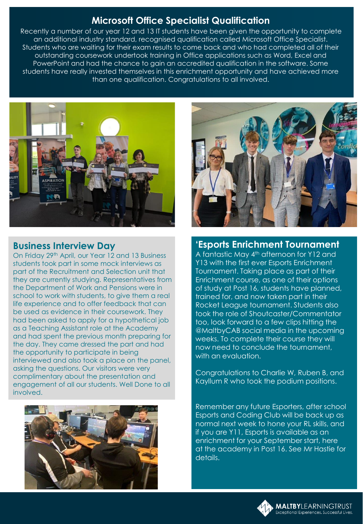## **Microsoft Office Specialist Qualification**

Recently a number of our year 12 and 13 IT students have been given the opportunity to complete an additional industry standard, recognised qualification called Microsoft Office Specialist. Students who are waiting for their exam results to come back and who had completed all of their outstanding coursework undertook training in Office applications such as Word, Excel and PowerPoint and had the chance to gain an accredited qualification in the software. Some students have really invested themselves in this enrichment opportunity and have achieved more than one qualification. Congratulations to all involved.



## **Business Interview Day**

On Friday 29<sup>th</sup> April, our Year 12 and 13 Business students took part in some mock interviews as part of the Recruitment and Selection unit that they are currently studying. Representatives from the Department of Work and Pensions were in school to work with students, to give them a real life experience and to offer feedback that can be used as evidence in their coursework. They had been asked to apply for a hypothetical job as a Teaching Assistant role at the Academy and had spent the previous month preparing for the day. They came dressed the part and had the opportunity to participate in being interviewed and also took a place on the panel, asking the questions. Our visitors were very complimentary about the presentation and engagement of all our students. Well Done to all involved.





#### **'Esports Enrichment Tournament**

A fantastic May 4<sup>th</sup> afternoon for Y12 and Y13 with the first ever Esports Enrichment Tournament. Taking place as part of their Enrichment course, as one of their options of study at Post 16, students have planned, trained for, and now taken part in their Rocket League tournament. Students also took the role of Shoutcaster/Commentator too, look forward to a few clips hitting the @MaltbyCAB social media in the upcoming weeks. To complete their course they will now need to conclude the tournament, with an evaluation.

Congratulations to Charlie W, Ruben B, and Kayllum R who took the podium positions.

Remember any future Esporters, after school Esports and Coding Club will be back up as normal next week to hone your RL skills, and if you are Y11, Esports is available as an enrichment for your September start, here at the academy in Post 16. See Mr Hastie for details.

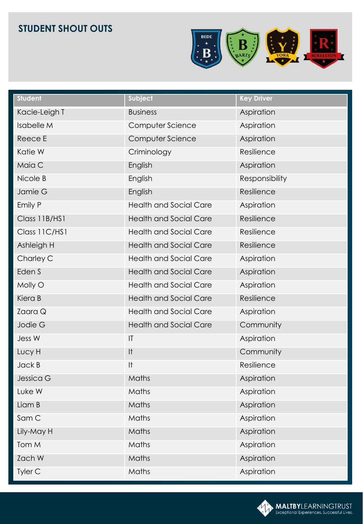## **STUDENT SHOUT OUTS**



| <b>Student</b>    | Subject                       | <b>Key Driver</b> |
|-------------------|-------------------------------|-------------------|
| Kacie-Leigh T     | <b>Business</b>               | Aspiration        |
| <b>Isabelle M</b> | Computer Science              | Aspiration        |
| Reece E           | Computer Science              | Aspiration        |
| Katie W           | Criminology                   | Resilience        |
| Maia C            | English                       | Aspiration        |
| Nicole B          | English                       | Responsibility    |
| Jamie G           | English                       | Resilience        |
| Emily P           | <b>Health and Social Care</b> | Aspiration        |
| Class 11B/HS1     | <b>Health and Social Care</b> | Resilience        |
| Class 11C/HS1     | <b>Health and Social Care</b> | Resilience        |
| Ashleigh H        | <b>Health and Social Care</b> | Resilience        |
| Charley C         | <b>Health and Social Care</b> | Aspiration        |
| Eden S            | <b>Health and Social Care</b> | Aspiration        |
| Molly O           | <b>Health and Social Care</b> | Aspiration        |
| Kiera B           | <b>Health and Social Care</b> | Resilience        |
| Zaara Q           | <b>Health and Social Care</b> | Aspiration        |
| Jodie G           | <b>Health and Social Care</b> | Community         |
| Jess W            | T                             | Aspiration        |
| Lucy H            | It                            | Community         |
| Jack B            | It                            | Resilience        |
| Jessica G         | Maths                         | Aspiration        |
| Luke W            | Maths                         | Aspiration        |
| Liam B            | Maths                         | Aspiration        |
| Sam C             | Maths                         | Aspiration        |
| Lily-May H        | Maths                         | Aspiration        |
| Tom M             | Maths                         | Aspiration        |
| Zach W            | Maths                         | Aspiration        |
| Tyler C           | Maths                         | Aspiration        |